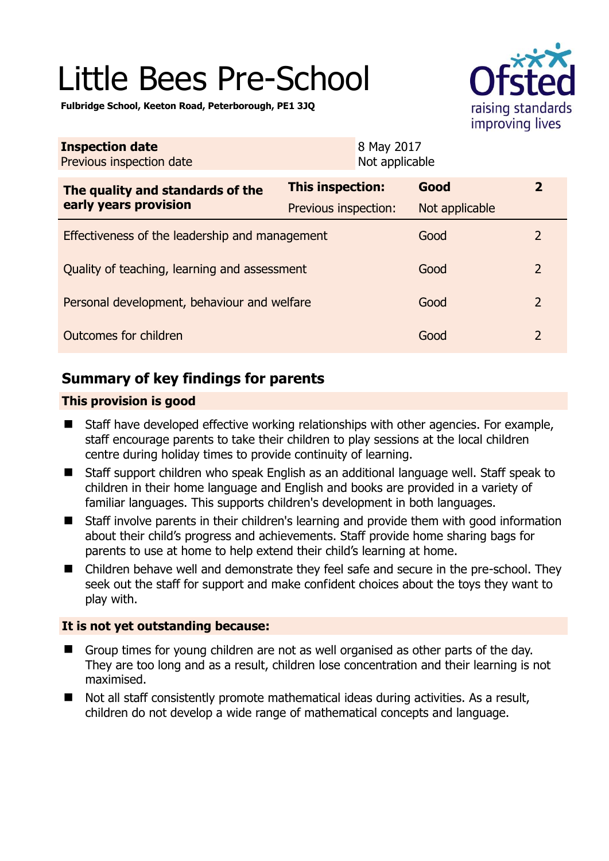# Little Bees Pre-School



**Fulbridge School, Keeton Road, Peterborough, PE1 3JQ** 

| <b>Inspection date</b><br>Previous inspection date        | 8 May 2017<br>Not applicable |                |                |
|-----------------------------------------------------------|------------------------------|----------------|----------------|
| The quality and standards of the<br>early years provision | <b>This inspection:</b>      | Good           | $\mathbf{2}$   |
|                                                           | Previous inspection:         | Not applicable |                |
| Effectiveness of the leadership and management            |                              | Good           | $\overline{2}$ |
| Quality of teaching, learning and assessment              |                              | Good           | $\overline{2}$ |
| Personal development, behaviour and welfare               |                              | Good           | $\overline{2}$ |
| Outcomes for children                                     |                              | Good           | $\overline{2}$ |

# **Summary of key findings for parents**

## **This provision is good**

- Staff have developed effective working relationships with other agencies. For example, staff encourage parents to take their children to play sessions at the local children centre during holiday times to provide continuity of learning.
- Staff support children who speak English as an additional language well. Staff speak to children in their home language and English and books are provided in a variety of familiar languages. This supports children's development in both languages.
- Staff involve parents in their children's learning and provide them with good information about their child's progress and achievements. Staff provide home sharing bags for parents to use at home to help extend their child's learning at home.
- Children behave well and demonstrate they feel safe and secure in the pre-school. They seek out the staff for support and make confident choices about the toys they want to play with.

## **It is not yet outstanding because:**

- Group times for young children are not as well organised as other parts of the day. They are too long and as a result, children lose concentration and their learning is not maximised.
- Not all staff consistently promote mathematical ideas during activities. As a result, children do not develop a wide range of mathematical concepts and language.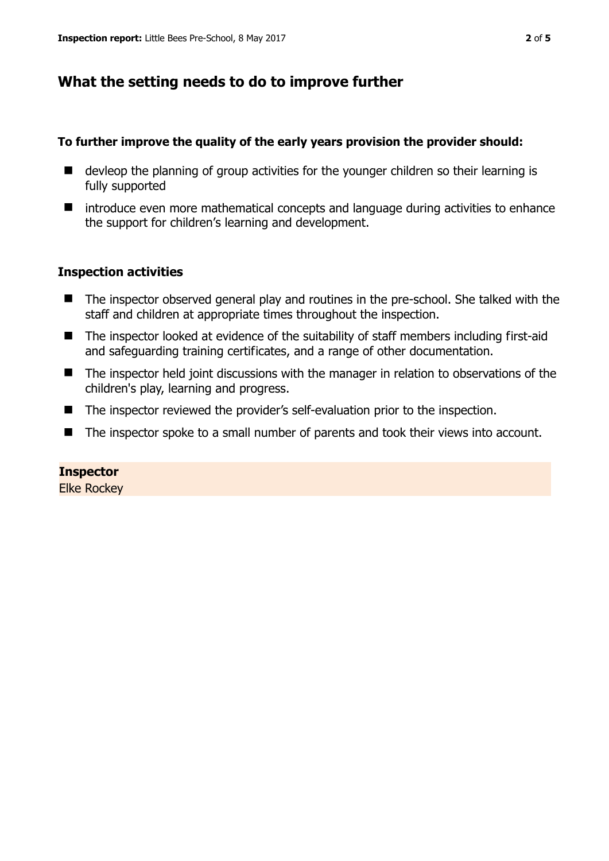# **What the setting needs to do to improve further**

### **To further improve the quality of the early years provision the provider should:**

- devleop the planning of group activities for the younger children so their learning is fully supported
- $\blacksquare$  introduce even more mathematical concepts and language during activities to enhance the support for children's learning and development.

## **Inspection activities**

- The inspector observed general play and routines in the pre-school. She talked with the staff and children at appropriate times throughout the inspection.
- The inspector looked at evidence of the suitability of staff members including first-aid and safeguarding training certificates, and a range of other documentation.
- The inspector held joint discussions with the manager in relation to observations of the children's play, learning and progress.
- The inspector reviewed the provider's self-evaluation prior to the inspection.
- The inspector spoke to a small number of parents and took their views into account.

#### **Inspector**

Elke Rockey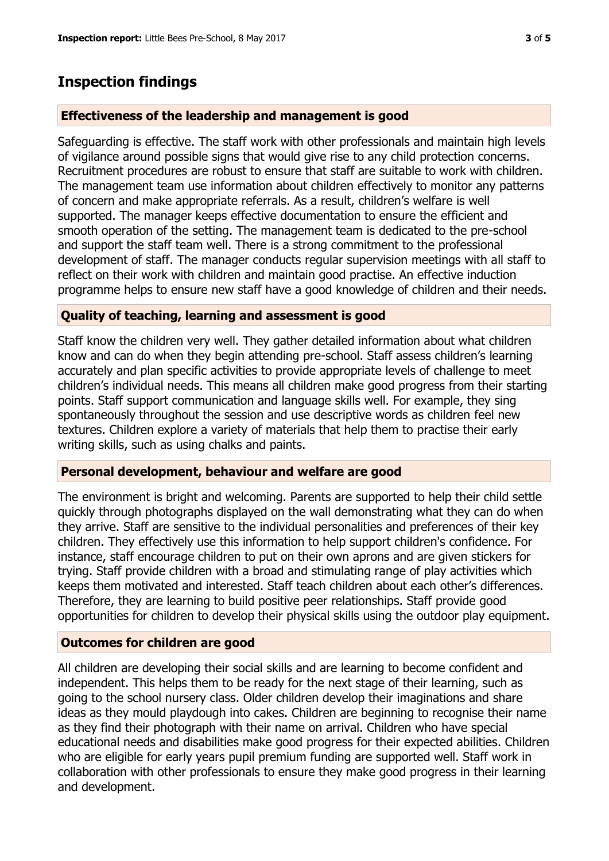# **Inspection findings**

#### **Effectiveness of the leadership and management is good**

Safeguarding is effective. The staff work with other professionals and maintain high levels of vigilance around possible signs that would give rise to any child protection concerns. Recruitment procedures are robust to ensure that staff are suitable to work with children. The management team use information about children effectively to monitor any patterns of concern and make appropriate referrals. As a result, children's welfare is well supported. The manager keeps effective documentation to ensure the efficient and smooth operation of the setting. The management team is dedicated to the pre-school and support the staff team well. There is a strong commitment to the professional development of staff. The manager conducts regular supervision meetings with all staff to reflect on their work with children and maintain good practise. An effective induction programme helps to ensure new staff have a good knowledge of children and their needs.

#### **Quality of teaching, learning and assessment is good**

Staff know the children very well. They gather detailed information about what children know and can do when they begin attending pre-school. Staff assess children's learning accurately and plan specific activities to provide appropriate levels of challenge to meet children's individual needs. This means all children make good progress from their starting points. Staff support communication and language skills well. For example, they sing spontaneously throughout the session and use descriptive words as children feel new textures. Children explore a variety of materials that help them to practise their early writing skills, such as using chalks and paints.

#### **Personal development, behaviour and welfare are good**

The environment is bright and welcoming. Parents are supported to help their child settle quickly through photographs displayed on the wall demonstrating what they can do when they arrive. Staff are sensitive to the individual personalities and preferences of their key children. They effectively use this information to help support children's confidence. For instance, staff encourage children to put on their own aprons and are given stickers for trying. Staff provide children with a broad and stimulating range of play activities which keeps them motivated and interested. Staff teach children about each other's differences. Therefore, they are learning to build positive peer relationships. Staff provide good opportunities for children to develop their physical skills using the outdoor play equipment.

#### **Outcomes for children are good**

All children are developing their social skills and are learning to become confident and independent. This helps them to be ready for the next stage of their learning, such as going to the school nursery class. Older children develop their imaginations and share ideas as they mould playdough into cakes. Children are beginning to recognise their name as they find their photograph with their name on arrival. Children who have special educational needs and disabilities make good progress for their expected abilities. Children who are eligible for early years pupil premium funding are supported well. Staff work in collaboration with other professionals to ensure they make good progress in their learning and development.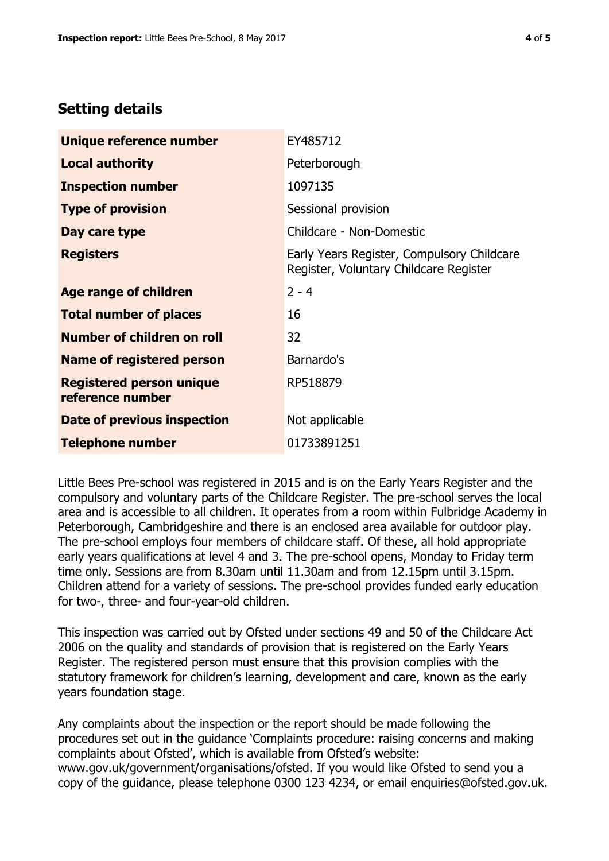# **Setting details**

| Unique reference number                             | EY485712                                                                             |  |
|-----------------------------------------------------|--------------------------------------------------------------------------------------|--|
| <b>Local authority</b>                              | Peterborough                                                                         |  |
| <b>Inspection number</b>                            | 1097135                                                                              |  |
| <b>Type of provision</b>                            | Sessional provision                                                                  |  |
| Day care type                                       | Childcare - Non-Domestic                                                             |  |
| <b>Registers</b>                                    | Early Years Register, Compulsory Childcare<br>Register, Voluntary Childcare Register |  |
| <b>Age range of children</b>                        | $2 - 4$                                                                              |  |
| <b>Total number of places</b>                       | 16                                                                                   |  |
| Number of children on roll                          | 32                                                                                   |  |
| <b>Name of registered person</b>                    | Barnardo's                                                                           |  |
| <b>Registered person unique</b><br>reference number | RP518879                                                                             |  |
| Date of previous inspection                         | Not applicable                                                                       |  |
| <b>Telephone number</b>                             | 01733891251                                                                          |  |

Little Bees Pre-school was registered in 2015 and is on the Early Years Register and the compulsory and voluntary parts of the Childcare Register. The pre-school serves the local area and is accessible to all children. It operates from a room within Fulbridge Academy in Peterborough, Cambridgeshire and there is an enclosed area available for outdoor play. The pre-school employs four members of childcare staff. Of these, all hold appropriate early years qualifications at level 4 and 3. The pre-school opens, Monday to Friday term time only. Sessions are from 8.30am until 11.30am and from 12.15pm until 3.15pm. Children attend for a variety of sessions. The pre-school provides funded early education for two-, three- and four-year-old children.

This inspection was carried out by Ofsted under sections 49 and 50 of the Childcare Act 2006 on the quality and standards of provision that is registered on the Early Years Register. The registered person must ensure that this provision complies with the statutory framework for children's learning, development and care, known as the early years foundation stage.

Any complaints about the inspection or the report should be made following the procedures set out in the guidance 'Complaints procedure: raising concerns and making complaints about Ofsted', which is available from Ofsted's website: www.gov.uk/government/organisations/ofsted. If you would like Ofsted to send you a copy of the guidance, please telephone 0300 123 4234, or email enquiries@ofsted.gov.uk.